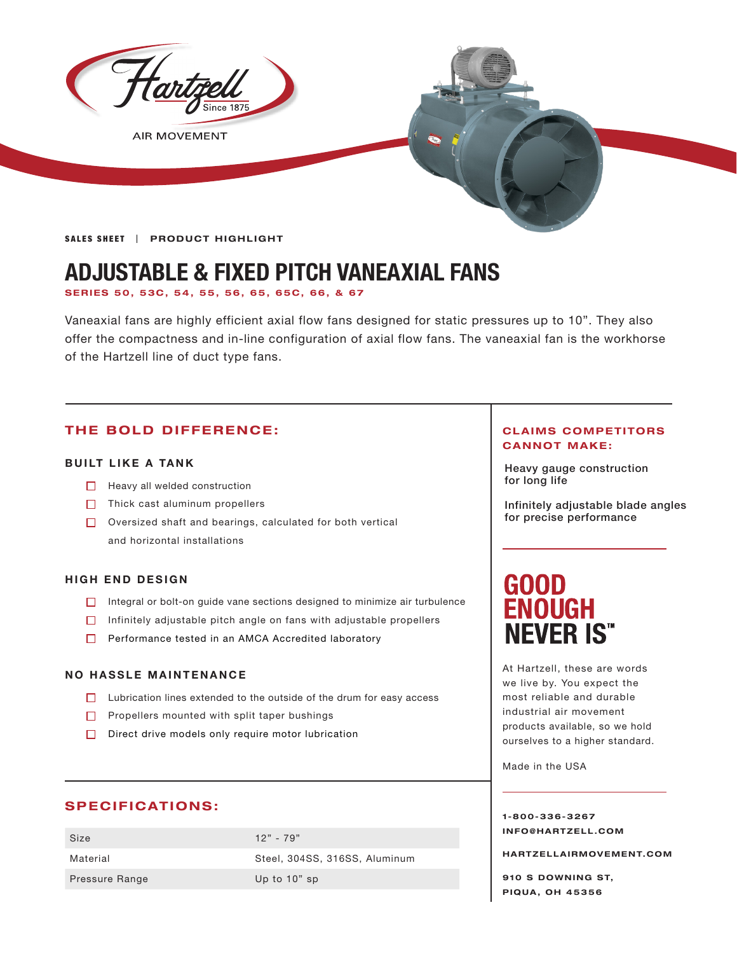

**AIR MOVEMENT** 

**SALES SHEET | PRODUCT HIGHLIGHT** 

## **ADJUSTABLE & FIXED PITCH VANEAXIAL FANS**

**SERIES 50, 53C, 54, 55, 56, 65, 65C, 66, & 67**

Vaneaxial fans are highly efficient axial flow fans designed for static pressures up to 10". They also offer the compactness and in-line configuration of axial flow fans. The vaneaxial fan is the workhorse of the Hartzell line of duct type fans.

#### **THE BOLD DIFFERENCE:**

#### **BUILT LIKE A TANK**

- $\Box$  Heavy all welded construction
- $\Box$  Thick cast aluminum propellers
- Oversized shaft and bearings, calculated for both vertical and horizontal installations

#### **HIGH END DESIGN**

- □ Integral or bolt-on guide vane sections designed to minimize air turbulence
- $\Box$  Infinitely adjustable pitch angle on fans with adjustable propellers
- **Performance tested in an AMCA Accredited laboratory**

#### **NO HASSLE MAINTENANCE**

- $\Box$  Lubrication lines extended to the outside of the drum for easy access
- $\Box$  Propellers mounted with split taper bushings
- Direct drive models only require motor lubrication

#### **SPECIFICATIONS:**

Size 12" - 79" Pressure Range Up to 10" sp

Material Steel, 304SS, 316SS, Aluminum

#### **CLAIMS COMPETITORS CANNOT MAKE:**

Heavy gauge construction for long life

Infinitely adjustable blade angles for precise performance

# **GOOD<br>ENOUGH NEVER IS"**

At Hartzell, these are words we live by. You expect the most reliable and durable industrial air movement products available, so we hold ourselves to a higher standard.

Made in the USA

**1-800-336-3267 I N F O @ H A R T Z E L L . C OM** 

**HARTZELLA IRMOVEMENT.COM**

**910 S DOWNING ST, PIQUA, OH 45356**